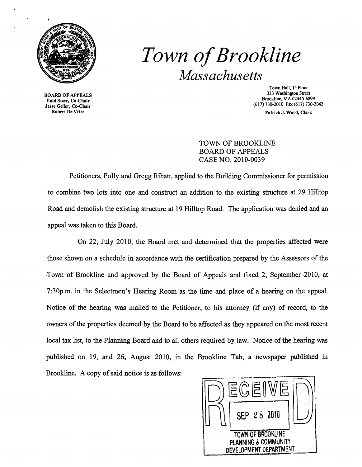

# *Town ofBrookline Massachusetts*

BOARD OF APPEALS Enid Starr, Co-Chair Jesse Geller, Co-Chair Robert De Vries

Town Hall, 1<sup>st</sup> Floor 333 Washington Street Brookline. MA 02445-6899 (617) 730-2010 Fax (617) 730-2043

Patrick J. Ward, Clerk

### TOWN OF BROOKLINE BOARD OF APPEALS CASE NO. 2010-0039

Petitioners, Polly and Gregg Ribatt, applied to the Building Commissioner for permission to combine two lots into one and construct an addition to the existing structure at 29 Hilltop Road and demolish the existing structure at 19 Hilltop Road. The application was denied and an appeal was taken to this Board.

On 22, July 2010, the Board met and detennined that the properties affected were those shown on a schedule in accordance with the certification prepared by the Assessors of the Town of Brookline and approved by the Board of Appeals and fixed 2, September 2010, at 7:30p.m. in the Selectmen's Hearing Room as the time and place of a hearing on the appeal. Notice of the hearing was mailed to the Petitioner, to his attorney (if any) of record, to the owners ofthe properties deemed by the Board to be affected as they appeared on the most recent local tax list, to the Planning Board and to all others required by law. Notice of the hearing was published on 19, and 26, August 2010, in the Brookline Tab, a newspaper published in Brookline. A copy of said notice is as follows:

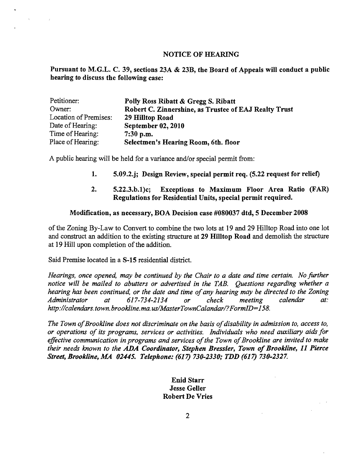#### NOTICE OF HEARING

Pursuant to M.G.L. C. 39, sections 23A & 23B, the Board of Appeals will conduct a public hearing to discuss the following case:

| Petitioner:           | Polly Ross Ribatt & Gregg S. Ribatt                   |  |  |
|-----------------------|-------------------------------------------------------|--|--|
| Owner:                | Robert C. Zinnershine, as Trustee of EAJ Realty Trust |  |  |
| Location of Premises: | 29 Hilltop Road                                       |  |  |
| Date of Hearing:      | <b>September 02, 2010</b>                             |  |  |
| Time of Hearing:      | $7:30$ p.m.                                           |  |  |
| Place of Hearing:     | Selectmen's Hearing Room, 6th. floor                  |  |  |

A public hearing will be held for a variance and/or special permit from:

- 1. 5.09.2.j; Design Review, special permit req. (5.22 request for relief)
- 2. 5.22.3.b.1)c; Exceptions to Maximum Floor Area Ratio (FAR) Regulations for Residential Units, special permit required.

#### Modification, as necessary, BOA Decision case #080037 dtd, 5 December 2008

ofthe Zoning By-Law to Convert to combine the two lots at 19 and 29 Hilltop Road into one lot and construct an addition to the existing structure at 29 Hilltop Road and demolish the structure at 19 Hill upon completion of the addition.

Said Premise located in a S-15 residential district.

 $\sim 800$ 

 $\sim 10^6$ 

*Hearings, once opened, may be continued by the Chair to a date and time certain. No further notice will be mailed to abutters or advertised in the TAB. Questions regarding whether a hearing has been continued, or the date and time of any hearing may be directed to the Zoning Administrator* at:<br>*Administrator* at 617-734-2134 or check meeting calendar at: *Administrator at* 617-734-2134 *or check meeting calendar at: http://calendars.town.brookline.ma.usIMasterTownCalandarl?FormID=158.* 

The Town of Brookline does not discriminate on the basis of disability in admission to, access to, *or operations of its programs, services or activities. Individuals who need auxiliary aids for*  effective communication in programs and services of the Town of Brookline are invited to make *their needs known to the* ADA *Coordinator, Stephen Bressler, Town of Brookline,* 11 *Pierce Street, Brookline, MA 02445. Telephone: (617) 730-2330; TDD (617) 730-2327.* 

> Enid Starr Jesse Geller Robert De Vries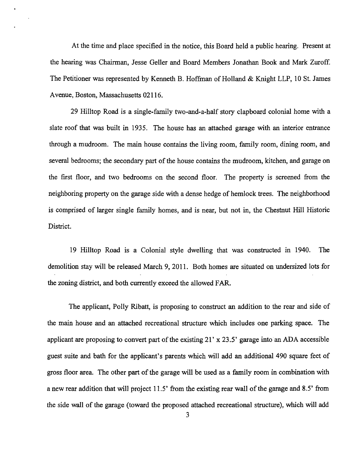At the time and place specified in the notice, this Board held a public hearing. Present at the hearing was Chairman, Jesse Geller and Board Members Jonathan Book and Mark Zuroff. The Petitioner was represented by Kenneth B. Hoffman of Holland & Knight LLP, 10 St. James Avenue, Boston, Massachusetts 02116.

29 Hilltop Road is a single-family two-and-a-half story clapboard colonial home with a slate roof that was built in 1935. The house has an attached garage with an interior entrance through a mudroom. The main house contains the living room, family room, dining room, and several bedrooms; the secondary part of the house contains the mudroom, kitchen, and garage on the first floor, and two bedrooms on the second floor. The property is screened from the neighboring property on the garage side with a dense hedge of hemlock trees. The neighborhood is comprised of larger single family homes, and is near, but not in, the Chestnut Hill Historic District.

19 Hilltop Road is a Colonial style dwelling that was constructed in 1940. The demolition stay will be released March 9, 2011. Both homes are situated on undersized lots for the zoning district, and both currently exceed the allowed FAR.

The applicant, Polly Ribatt, is proposing to construct an addition to the rear and side of the main house and an attached recreational structure which includes one parking space. The applicant are proposing to convert part of the existing  $21' \times 23.5'$  garage into an ADA accessible guest suite and bath for the applicant's parents which will add an additional 490 square feet of gross floor area. The other part of the garage will be used as a family room in combination with a new rear addition that will project 11.5' from the existing rear wall of the garage and 8.5' from the side wall of the garage (toward the proposed attached recreational structure), which will add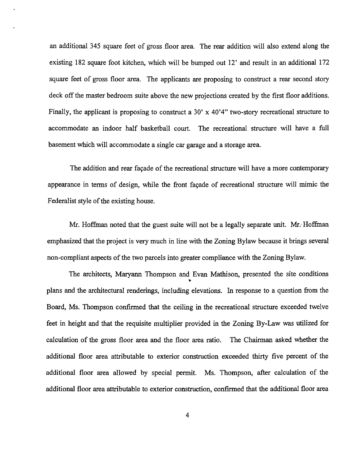an additional 345 square feet of gross floor area. The rear addition will also extend along the existing 182 square foot kitchen, which will be bumped out 12' and result in an additional 172 square feet of gross floor area. The applicants are proposing to construct a rear second story deck off the master bedroom suite above the new projections created by the first floor additions. Finally, the applicant is proposing to construct a 30' x  $40^{\circ}4"$  two-story recreational structure to accommodate an indoor half basketball court. The recreational structure will have a full basement which will accommodate a single car garage and a storage area.

The addition and rear facade of the recreational structure will have a more contemporary appearance in terms of design, while the front fayade of recreational structure will mimic the Federalist style of the existing house.

Mr. Hoffman noted that the guest suite will not be a legally separate unit. Mr: Hoffman emphasized that the project is very much in line with the Zoning Bylaw because it brings several non-compliant aspects of the two parcels into greater compliance with the Zoning Bylaw.

The architects, Maryann Thompson and Evan Mathison, presented the site conditions plans and the architectural renderings, including elevations. In response to a question from the Board, Ms. Thompson confirmed that the ceiling in the recreational structure exceeded twelve feet in height and that the requisite multiplier provided in the Zoning By-Law was utilized for calculation of the gross floor area and the floor area ratio. The Chairman asked whether the additional floor area attributable to exterior construction exceeded thirty five percent of the additional floor area allowed by special permit. Ms. Thompson, after calculation of the additional floor area attributable to exterior construction, confirmed that the additional floor area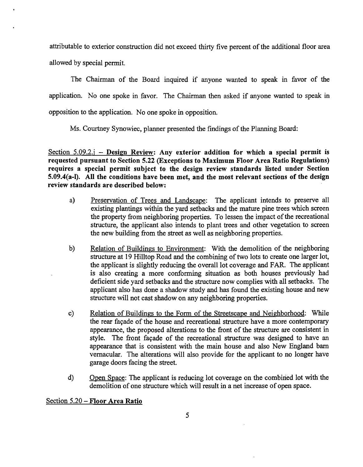attributable to exterior construction did not exceed thirty five percent ofthe additional floor area allowed by special permit.

The Chairman of the Board inquired if anyone wanted to speak in favor of the application. No one spoke in favor. The Chairman then asked if anyone wanted to speak in opposition to the application. No one spoke in opposition.

Ms. Courtney Synowiec, planner presented the findings of the Planning Board:

Section  $5.09.2$ .j - Design Review: Any exterior addition for which a special permit is requested pursuant to Section 5.22 (Exceptions to Maximum Floor Area Ratio Regulations) requires a special permit subject to the design review standards listed under Section 5.09.4(a-I). All the conditions have been met, and the most relevant sections of the design review standards are described below:

- a) Preservation of Trees and Landscape: The applicant intends to preserve all existing plantings within the yard setbacks and the mature pine trees which screen the property from neighboring properties. To lessen the impact of the recreational structure, the applicant also intends to plant trees and other vegetation to screen the new building from the street as well as neighboring properties.
- b) Relation of Buildings to Environment: With the demolition of the neighboring structure at 19 Hilltop Road and the combining of two lots to create one larger lot, the applicant is slightly reducing the overall lot coverage and FAR. The applicant is also creating a more conforming situation as both houses previously had deficient side yard setbacks and the structure now complies with all setbacks. The applicant also has done a shadow study and has found the existing house and new structure will not cast shadow on any neighboring properties.
- c) Relation of Buildings to the Form of the Streetscape and Neighborhood: While the rear fayade of the house and recreational structure have a more contemporary appearance, the proposed alterations to the front of the structure are consistent in style. The front fayade of the recreational structure was designed to have an appearance that is consistent with the main house and also New England barn vernacular. The alterations will also provide for the applicant to no longer have garage doors facing the street.
- d) Open Space: The applicant is reducing lot coverage on the combined lot with the demolition of one structure which will result in a net increase of open space.

## Section 5.20 - Floor Area Ratio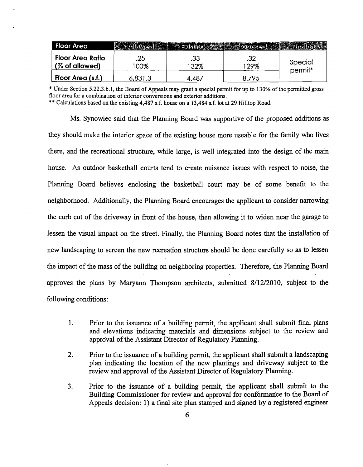| <b>Floor Area</b>                         |            |            |            |                    |
|-------------------------------------------|------------|------------|------------|--------------------|
| <b>Floor Area Ratio</b><br>(% of allowed) | .25<br>00% | .33<br>32% | .32<br>29% | Special<br>permit* |
| Floor Area (s.f.)                         | 6,831.3    | $.48^-$    | 795        |                    |

\* Under Section 5.22.3.b.1, the Board of Appeals may grant a special permit for up to 130% of the permitted gross floor area for a combination of interior conversions and exterior additions.

\*\* Calculations based on the existing 4,487 s.f. house on a 13,484 s.f. lot at 29 Hilltop Road.

Ms. Synowiec said that the Planning Board was supportive of the proposed additions as they should make the interior space of the existing house more useable for the family who lives there, and the recreational structure, while large, is well integrated into the design of the main house. As outdoor basketball courts tend to create nuisance issues with respect to noise, the Planning Board believes enclosing the basketball court may· be of some benefit to the neighborhood. Additionally, the Planning Board encourages the applicant to consider narrowing the curb cut of the driveway in front of the house, then allowing it to widen near the garage to lessen the visual impact on the street. Finally, the Planning Board notes that the installation of new landscaping to screen the new recreation structure should be done carefully so as to lessen the impact of the mass of the building on neighboring properties. Therefore, the Planning Board approves the plans by Maryann Thompson architects, submitted 8/12/2010, subject to the following conditions:

- 1. Prior to the issuance of a building permit, the applicant shall submit final plans and elevations indicating materials and dimensions subject to the review and approval of the Assistant Director of Regulatory Planning.
- 2. Prior to the issuance of a building permit, the applicant shall submit a landscaping plan indicating the location of the new plantings and driveway subject to the review and approval of the Assistant Director of Regulatory Planning.
- 3. Prior to the issuance of a building permit, the applicant shall submit to the Building Commissioner for review and approval for conformance to the Board of Appeals decision: 1) a final site plan stamped and signed by a registered engineer

6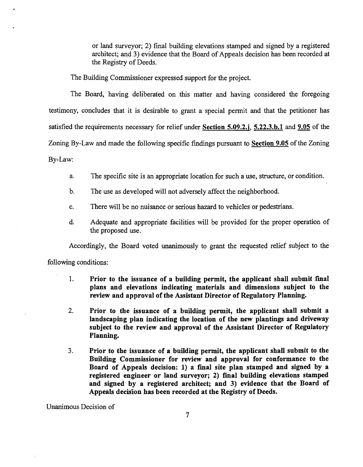or land surveyor; 2) final building elevations stamped and signed by a registered architect; and 3) evidence that the Board of Appeals decision has been recorded at the Registry of Deeds.

The Building Commissioner expressed support for the project.

The Board, having deliberated on this matter and having considered the foregoing testimony, concludes that it is desirable to grant a special pennit and that the petitioner has satisfied the requirements necessary for relief under Section 5.09.2.j, 5.22.3.b.1 and 9.05 of the Zoning By-Law and made the following specific findings pursuant to Section 9.05 of the Zoning By-Law:

- a. The specific site is an appropriate location for such a use, structure, or condition.
- b. The use as developed will not adversely affect the neighborhood.
- c. There will be no nuisance or serious hazard to vehicles or pedestrians.
- d. Adequate and appropriate facilities will be provided for the proper operation of the proposed use.

Accordingly, the Board voted unanimously to grant the requested relief subject to the

following conditions:

- 1. Prior to the issuance of a building permit, the applicant shall submit final plans and elevations indicating materials and dimensions subject to the review and approval of the Assistant Director of Regulatory Planning.
- 2. Prior to the issuance of a building permit, the applicant shall submit a landscaping plan indicating the location of the new plantings and driveway subject to the review and approval of the Assistant Director of Regulatory Planning.
- 3. Prior to the issuance of a building permit, the applicant shall submit to the Building Commissioner for review and approval for conformance to the Board of Appeals decision: 1) a fmal site plan stamped and signed by a registered engineer or land surveyor; 2) final building elevations stamped and signed by a registered architect; and 3) evidence that the Board of Appeals decision has been recorded at the Registry of Deeds.

Unanimous Decision of